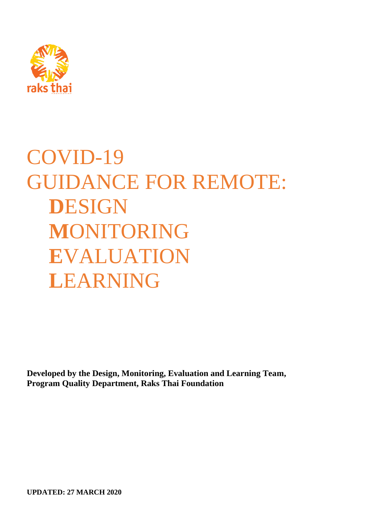

# COVID-19 GUIDANCE FOR REMOTE: **D**ESIGN **M**ONITORING **E**VALUATION **L**EARNING

**Developed by the Design, Monitoring, Evaluation and Learning Team, Program Quality Department, Raks Thai Foundation**

**UPDATED: 27 MARCH 2020**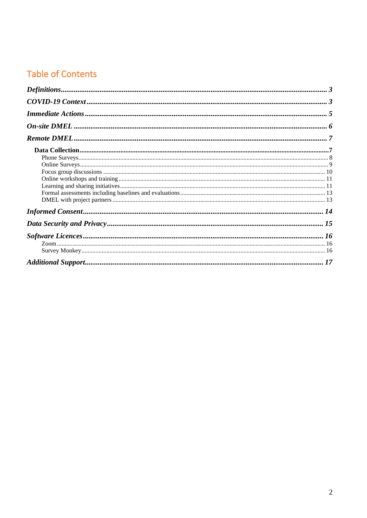# **Table of Contents**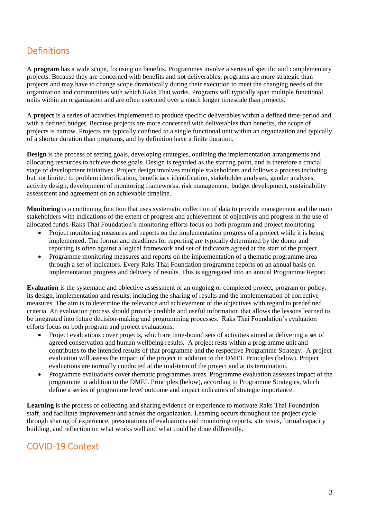## <span id="page-2-0"></span>**Definitions**

A **program** has a wide scope, focusing on benefits. Programmes involve a series of specific and complementary projects. Because they are concerned with benefits and not deliverables, programs are more strategic than projects and may have to change scope dramatically during their execution to meet the changing needs of the organization and communities with which Raks Thai works. Programs will typically span multiple functional units within an organization and are often executed over a much longer timescale than projects.

A **project** is a series of activities implemented to produce specific deliverables within a defined time-period and with a defined budget. Because projects are more concerned with deliverables than benefits, the scope of projects is narrow. Projects are typically confined to a single functional unit within an organization and typically of a shorter duration than programs, and by definition have a finite duration.

**Design** is the process of setting goals, developing strategies, outlining the implementation arrangements and allocating resources to achieve those goals. Design is regarded as the starting point, and is therefore a crucial stage of development initiatives. Project design involves multiple stakeholders and follows a process including but not limited to problem identification, beneficiary identification, stakeholder analyses, gender analyses, activity design, development of monitoring frameworks, risk management, budget development, sustainability assessment and agreement on an achievable timeline.

**Monitoring** is a continuing function that uses systematic collection of data to provide management and the main stakeholders with indications of the extent of progress and achievement of objectives and progress in the use of allocated funds. Raks Thai Foundation's monitoring efforts focus on both program and project monitoring

- Project monitoring measures and reports on the implementation progress of a project while it is being implemented. The format and deadlines for reporting are typically determined by the donor and reporting is often against a logical framework and set of indicators agreed at the start of the project.
- Programme monitoring measures and reports on the implementation of a thematic programme area through a set of indicators. Every Raks Thai Foundation programme reports on an annual basis on implementation progress and delivery of results. This is aggregated into an annual Programme Report.

**Evaluation** is the systematic and objective assessment of an ongoing or completed project, program or policy, its design, implementation and results, including the sharing of results and the implementation of corrective measures. The aim is to determine the relevance and achievement of the objectives with regard to predefined criteria. An evaluation process should provide credible and useful information that allows the lessons learned to be integrated into future decision-making and programming processes. Raks Thai Foundation's evaluation efforts focus on both program and project evaluations.

- Project evaluations cover projects, which are time-bound sets of activities aimed at delivering a set of agreed conservation and human wellbeing results. A project rests within a programme unit and contributes to the intended results of that programme and the respective Programme Strategy. A project evaluation will assess the impact of the project in addition to the DMEL Principles (below). Project evaluations are normally conducted at the mid-term of the project and at its termination.
- Programme evaluations cover thematic programmes areas. Programme evaluation assesses impact of the programme in addition to the DMEL Principles (below), according to Programme Strategies, which define a series of programme level outcome and impact indicators of strategic importance.

**Learning** is the process of collecting and sharing evidence or experience to motivate Raks Thai Foundation staff, and facilitate improvement and across the organization. Learning occurs throughout the project cycle through sharing of experience, presentations of evaluations and monitoring reports, site visits, formal capacity building, and reflection on what works well and what could be done differently.

# <span id="page-2-1"></span>COVID-19 Context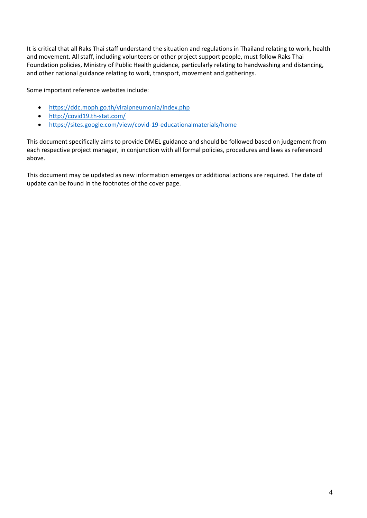It is critical that all Raks Thai staff understand the situation and regulations in Thailand relating to work, health and movement. All staff, including volunteers or other project support people, must follow Raks Thai Foundation policies, Ministry of Public Health guidance, particularly relating to handwashing and distancing, and other national guidance relating to work, transport, movement and gatherings.

Some important reference websites include:

- <https://ddc.moph.go.th/viralpneumonia/index.php>
- <http://covid19.th-stat.com/>
- <https://sites.google.com/view/covid-19-educationalmaterials/home>

This document specifically aims to provide DMEL guidance and should be followed based on judgement from each respective project manager, in conjunction with all formal policies, procedures and laws as referenced above.

This document may be updated as new information emerges or additional actions are required. The date of update can be found in the footnotes of the cover page.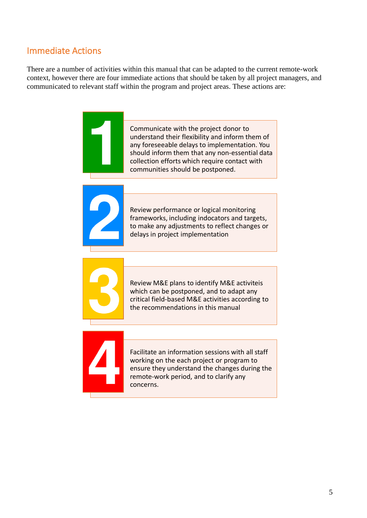### <span id="page-4-0"></span>Immediate Actions

There are a number of activities within this manual that can be adapted to the current remote-work context, however there are four immediate actions that should be taken by all project managers, and communicated to relevant staff within the program and project areas. These actions are:

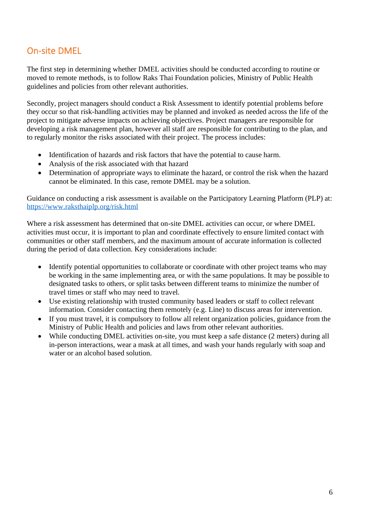# <span id="page-5-0"></span>On-site DMEL

The first step in determining whether DMEL activities should be conducted according to routine or moved to remote methods, is to follow Raks Thai Foundation policies, Ministry of Public Health guidelines and policies from other relevant authorities.

Secondly, project managers should conduct a Risk Assessment to identify potential problems before they occur so that risk-handling activities may be planned and invoked as needed across the life of the project to mitigate adverse impacts on achieving objectives. Project managers are responsible for developing a risk management plan, however all staff are responsible for contributing to the plan, and to regularly monitor the risks associated with their project. The process includes:

- Identification of hazards and risk factors that have the potential to cause harm.
- Analysis of the risk associated with that hazard
- Determination of appropriate ways to eliminate the hazard, or control the risk when the hazard cannot be eliminated. In this case, remote DMEL may be a solution.

Guidance on conducting a risk assessment is available on the Participatory Learning Platform (PLP) at: <https://www.raksthaiplp.org/risk.html>

Where a risk assessment has determined that on-site DMEL activities can occur, or where DMEL activities must occur, it is important to plan and coordinate effectively to ensure limited contact with communities or other staff members, and the maximum amount of accurate information is collected during the period of data collection. Key considerations include:

- Identify potential opportunities to collaborate or coordinate with other project teams who may be working in the same implementing area, or with the same populations. It may be possible to designated tasks to others, or split tasks between different teams to minimize the number of travel times or staff who may need to travel.
- Use existing relationship with trusted community based leaders or staff to collect relevant information. Consider contacting them remotely (e.g. Line) to discuss areas for intervention.
- If you must travel, it is compulsory to follow all relent organization policies, guidance from the Ministry of Public Health and policies and laws from other relevant authorities.
- While conducting DMEL activities on-site, you must keep a safe distance (2 meters) during all in-person interactions, wear a mask at all times, and wash your hands regularly with soap and water or an alcohol based solution.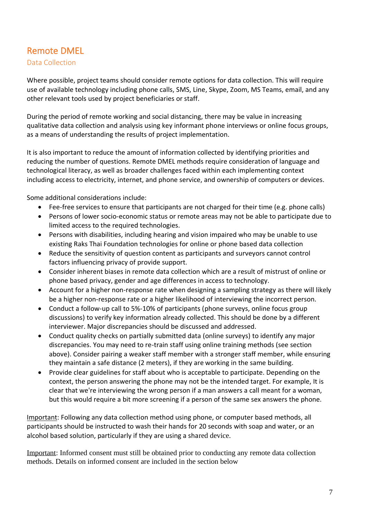# <span id="page-6-0"></span>Remote DMEL

#### <span id="page-6-1"></span>Data Collection

Where possible, project teams should consider remote options for data collection. This will require use of available technology including phone calls, SMS, Line, Skype, Zoom, MS Teams, email, and any other relevant tools used by project beneficiaries or staff.

During the period of remote working and social distancing, there may be value in increasing qualitative data collection and analysis using key informant phone interviews or online focus groups, as a means of understanding the results of project implementation.

It is also important to reduce the amount of information collected by identifying priorities and reducing the number of questions. Remote DMEL methods require consideration of language and technological literacy, as well as broader challenges faced within each implementing context including access to electricity, internet, and phone service, and ownership of computers or devices.

Some additional considerations include:

- Fee-free services to ensure that participants are not charged for their time (e.g. phone calls)
- Persons of lower socio-economic status or remote areas may not be able to participate due to limited access to the required technologies.
- Persons with disabilities, including hearing and vision impaired who may be unable to use existing Raks Thai Foundation technologies for online or phone based data collection
- Reduce the sensitivity of question content as participants and surveyors cannot control factors influencing privacy of provide support.
- Consider inherent biases in remote data collection which are a result of mistrust of online or phone based privacy, gender and age differences in access to technology.
- Account for a higher non-response rate when designing a sampling strategy as there will likely be a higher non-response rate or a higher likelihood of interviewing the incorrect person.
- Conduct a follow-up call to 5%-10% of participants (phone surveys, online focus group discussions) to verify key information already collected. This should be done by a different interviewer. Major discrepancies should be discussed and addressed.
- Conduct quality checks on partially submitted data (online surveys) to identify any major discrepancies. You may need to re-train staff using online training methods (see section above). Consider pairing a weaker staff member with a stronger staff member, while ensuring they maintain a safe distance (2 meters), if they are working in the same building.
- Provide clear guidelines for staff about who is acceptable to participate. Depending on the context, the person answering the phone may not be the intended target. For example, It is clear that we're interviewing the wrong person if a man answers a call meant for a woman, but this would require a bit more screening if a person of the same sex answers the phone.

Important: Following any data collection method using phone, or computer based methods, all participants should be instructed to wash their hands for 20 seconds with soap and water, or an alcohol based solution, particularly if they are using a shared device.

Important: Informed consent must still be obtained prior to conducting any remote data collection methods. Details on informed consent are included in the section below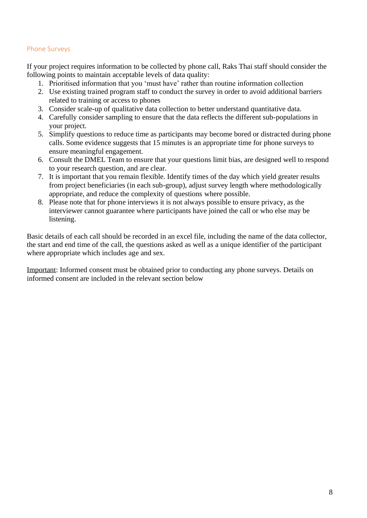#### <span id="page-7-0"></span>Phone Surveys

If your project requires information to be collected by phone call, Raks Thai staff should consider the following points to maintain acceptable levels of data quality:

- 1. Prioritised information that you 'must have' rather than routine information collection
- 2. Use existing trained program staff to conduct the survey in order to avoid additional barriers related to training or access to phones
- 3. Consider scale-up of qualitative data collection to better understand quantitative data.
- 4. Carefully consider sampling to ensure that the data reflects the different sub-populations in your project.
- 5. Simplify questions to reduce time as participants may become bored or distracted during phone calls. Some evidence suggests that 15 minutes is an appropriate time for phone surveys to ensure meaningful engagement.
- 6. Consult the DMEL Team to ensure that your questions limit bias, are designed well to respond to your research question, and are clear.
- 7. It is important that you remain flexible. Identify times of the day which yield greater results from project beneficiaries (in each sub-group), adjust survey length where methodologically appropriate, and reduce the complexity of questions where possible.
- 8. Please note that for phone interviews it is not always possible to ensure privacy, as the interviewer cannot guarantee where participants have joined the call or who else may be listening.

Basic details of each call should be recorded in an excel file, including the name of the data collector, the start and end time of the call, the questions asked as well as a unique identifier of the participant where appropriate which includes age and sex.

Important: Informed consent must be obtained prior to conducting any phone surveys. Details on informed consent are included in the relevant section below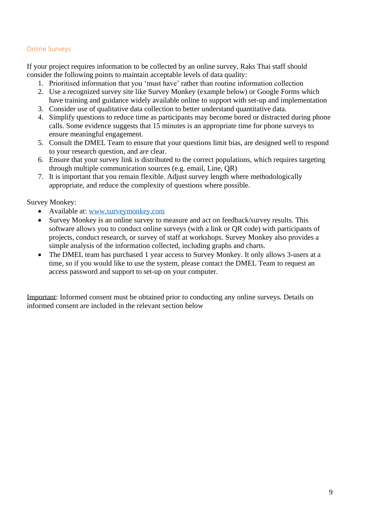#### <span id="page-8-0"></span>Online Surveys

If your project requires information to be collected by an online survey, Raks Thai staff should consider the following points to maintain acceptable levels of data quality:

- 1. Prioritised information that you 'must have' rather than routine information collection
- 2. Use a recognized survey site like Survey Monkey (example below) or Google Forms which have training and guidance widely available online to support with set-up and implementation
- 3. Consider use of qualitative data collection to better understand quantitative data.
- 4. Simplify questions to reduce time as participants may become bored or distracted during phone calls. Some evidence suggests that 15 minutes is an appropriate time for phone surveys to ensure meaningful engagement.
- 5. Consult the DMEL Team to ensure that your questions limit bias, are designed well to respond to your research question, and are clear.
- 6. Ensure that your survey link is distributed to the correct populations, which requires targeting through multiple communication sources (e.g. email, Line, QR)
- 7. It is important that you remain flexible. Adjust survey length where methodologically appropriate, and reduce the complexity of questions where possible.

Survey Monkey:

- Available at: [www.surveymonkey.com](http://www.surveymonkey.com/)
- Survey Monkey is an online survey to measure and act on feedback/survey results. This software allows you to conduct online surveys (with a link or QR code) with participants of projects, conduct research, or survey of staff at workshops. Survey Monkey also provides a simple analysis of the information collected, including graphs and charts.
- The DMEL team has purchased 1 year access to Survey Monkey. It only allows 3-users at a time, so if you would like to use the system, please contact the DMEL Team to request an access password and support to set-up on your computer.

Important: Informed consent must be obtained prior to conducting any online surveys. Details on informed consent are included in the relevant section below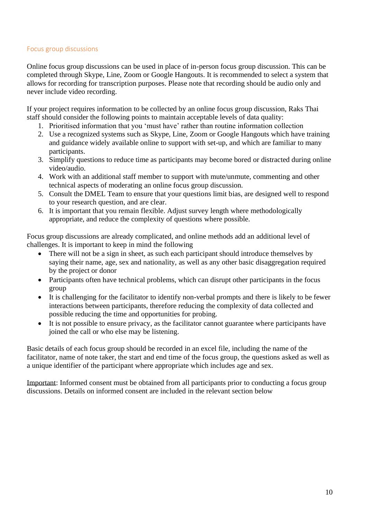#### <span id="page-9-0"></span>Focus group discussions

Online focus group discussions can be used in place of in-person focus group discussion. This can be completed through Skype, Line, Zoom or Google Hangouts. It is recommended to select a system that allows for recording for transcription purposes. Please note that recording should be audio only and never include video recording.

If your project requires information to be collected by an online focus group discussion, Raks Thai staff should consider the following points to maintain acceptable levels of data quality:

- 1. Prioritised information that you 'must have' rather than routine information collection
- 2. Use a recognized systems such as Skype, Line, Zoom or Google Hangouts which have training and guidance widely available online to support with set-up, and which are familiar to many participants.
- 3. Simplify questions to reduce time as participants may become bored or distracted during online video/audio.
- 4. Work with an additional staff member to support with mute/unmute, commenting and other technical aspects of moderating an online focus group discussion.
- 5. Consult the DMEL Team to ensure that your questions limit bias, are designed well to respond to your research question, and are clear.
- 6. It is important that you remain flexible. Adjust survey length where methodologically appropriate, and reduce the complexity of questions where possible.

Focus group discussions are already complicated, and online methods add an additional level of challenges. It is important to keep in mind the following

- There will not be a sign in sheet, as such each participant should introduce themselves by saying their name, age, sex and nationality, as well as any other basic disaggregation required by the project or donor
- Participants often have technical problems, which can disrupt other participants in the focus group
- It is challenging for the facilitator to identify non-verbal prompts and there is likely to be fewer interactions between participants, therefore reducing the complexity of data collected and possible reducing the time and opportunities for probing.
- It is not possible to ensure privacy, as the facilitator cannot guarantee where participants have joined the call or who else may be listening.

Basic details of each focus group should be recorded in an excel file, including the name of the facilitator, name of note taker, the start and end time of the focus group, the questions asked as well as a unique identifier of the participant where appropriate which includes age and sex.

Important: Informed consent must be obtained from all participants prior to conducting a focus group discussions. Details on informed consent are included in the relevant section below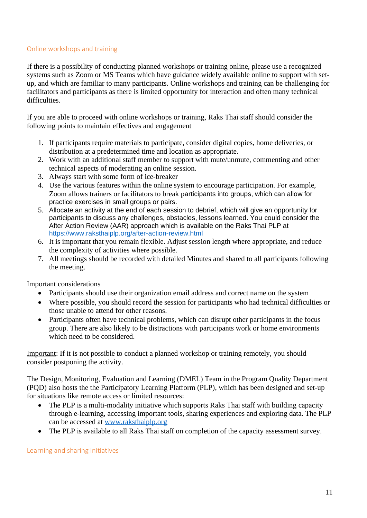#### <span id="page-10-0"></span>Online workshops and training

If there is a possibility of conducting planned workshops or training online, please use a recognized systems such as Zoom or MS Teams which have guidance widely available online to support with setup, and which are familiar to many participants. Online workshops and training can be challenging for facilitators and participants as there is limited opportunity for interaction and often many technical difficulties.

If you are able to proceed with online workshops or training, Raks Thai staff should consider the following points to maintain effectives and engagement

- 1. If participants require materials to participate, consider digital copies, home deliveries, or distribution at a predetermined time and location as appropriate.
- 2. Work with an additional staff member to support with mute/unmute, commenting and other technical aspects of moderating an online session.
- 3. Always start with some form of ice-breaker
- 4. Use the various features within the online system to encourage participation. For example, Zoom allows trainers or facilitators to break participants into groups, which can allow for practice exercises in small groups or pairs.
- 5. Allocate an activity at the end of each session to debrief, which will give an opportunity for participants to discuss any challenges, obstacles, lessons learned. You could consider the After Action Review (AAR) approach which is available on the Raks Thai PLP at <https://www.raksthaiplp.org/after-action-review.html>
- 6. It is important that you remain flexible. Adjust session length where appropriate, and reduce the complexity of activities where possible.
- 7. All meetings should be recorded with detailed Minutes and shared to all participants following the meeting.

Important considerations

- Participants should use their organization email address and correct name on the system
- Where possible, you should record the session for participants who had technical difficulties or those unable to attend for other reasons.
- Participants often have technical problems, which can disrupt other participants in the focus group. There are also likely to be distractions with participants work or home environments which need to be considered.

Important: If it is not possible to conduct a planned workshop or training remotely, you should consider postponing the activity.

The Design, Monitoring, Evaluation and Learning (DMEL) Team in the Program Quality Department (PQD) also hosts the the Participatory Learning Platform (PLP), which has been designed and set-up for situations like remote access or limited resources:

- The PLP is a multi-modality initiative which supports Raks Thai staff with building capacity through e-learning, accessing important tools, sharing experiences and exploring data. The PLP can be accessed at [www.raksthaiplp.org](http://www.raksthaiplp.org/)
- The PLP is available to all Raks Thai staff on completion of the capacity assessment survey.

<span id="page-10-1"></span>Learning and sharing initiatives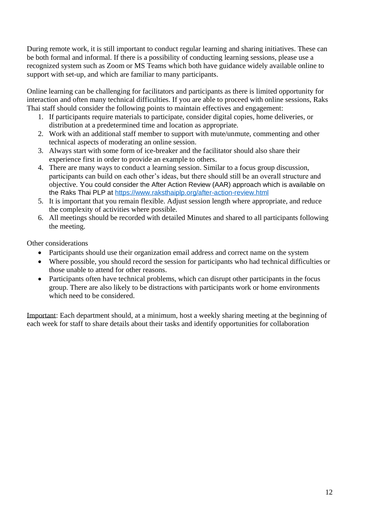During remote work, it is still important to conduct regular learning and sharing initiatives. These can be both formal and informal. If there is a possibility of conducting learning sessions, please use a recognized system such as Zoom or MS Teams which both have guidance widely available online to support with set-up, and which are familiar to many participants.

Online learning can be challenging for facilitators and participants as there is limited opportunity for interaction and often many technical difficulties. If you are able to proceed with online sessions, Raks Thai staff should consider the following points to maintain effectives and engagement:

- 1. If participants require materials to participate, consider digital copies, home deliveries, or distribution at a predetermined time and location as appropriate.
- 2. Work with an additional staff member to support with mute/unmute, commenting and other technical aspects of moderating an online session.
- 3. Always start with some form of ice-breaker and the facilitator should also share their experience first in order to provide an example to others.
- 4. There are many ways to conduct a learning session. Similar to a focus group discussion, participants can build on each other's ideas, but there should still be an overall structure and objective. You could consider the After Action Review (AAR) approach which is available on the Raks Thai PLP at<https://www.raksthaiplp.org/after-action-review.html>
- 5. It is important that you remain flexible. Adjust session length where appropriate, and reduce the complexity of activities where possible.
- 6. All meetings should be recorded with detailed Minutes and shared to all participants following the meeting.

Other considerations

- Participants should use their organization email address and correct name on the system
- Where possible, you should record the session for participants who had technical difficulties or those unable to attend for other reasons.
- Participants often have technical problems, which can disrupt other participants in the focus group. There are also likely to be distractions with participants work or home environments which need to be considered.

Important: Each department should, at a minimum, host a weekly sharing meeting at the beginning of each week for staff to share details about their tasks and identify opportunities for collaboration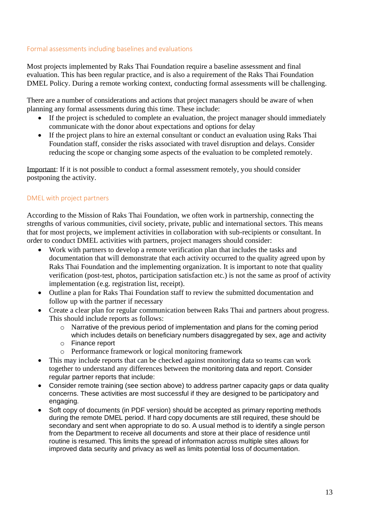#### <span id="page-12-0"></span>Formal assessments including baselines and evaluations

Most projects implemented by Raks Thai Foundation require a baseline assessment and final evaluation. This has been regular practice, and is also a requirement of the Raks Thai Foundation DMEL Policy. During a remote working context, conducting formal assessments will be challenging.

There are a number of considerations and actions that project managers should be aware of when planning any formal assessments during this time. These include:

- If the project is scheduled to complete an evaluation, the project manager should immediately communicate with the donor about expectations and options for delay
- If the project plans to hire an external consultant or conduct an evaluation using Raks Thai Foundation staff, consider the risks associated with travel disruption and delays. Consider reducing the scope or changing some aspects of the evaluation to be completed remotely.

Important: If it is not possible to conduct a formal assessment remotely, you should consider postponing the activity.

#### <span id="page-12-1"></span>DMEL with project partners

According to the Mission of Raks Thai Foundation, we often work in partnership, connecting the strengths of various communities, civil society, private, public and international sectors. This means that for most projects, we implement activities in collaboration with sub-recipients or consultant. In order to conduct DMEL activities with partners, project managers should consider:

- Work with partners to develop a remote verification plan that includes the tasks and documentation that will demonstrate that each activity occurred to the quality agreed upon by Raks Thai Foundation and the implementing organization. It is important to note that quality verification (post-test, photos, participation satisfaction etc.) is not the same as proof of activity implementation (e.g. registration list, receipt).
- Outline a plan for Raks Thai Foundation staff to review the submitted documentation and follow up with the partner if necessary
- Create a clear plan for regular communication between Raks Thai and partners about progress. This should include reports as follows:
	- o Narrative of the previous period of implementation and plans for the coming period which includes details on beneficiary numbers disaggregated by sex, age and activity
	- o Finance report
	- o Performance framework or logical monitoring framework
- This may include reports that can be checked against monitoring data so teams can work together to understand any differences between the monitoring data and report. Consider regular partner reports that include:
- Consider remote training (see section above) to address partner capacity gaps or data quality concerns. These activities are most successful if they are designed to be participatory and engaging.
- Soft copy of documents (in PDF version) should be accepted as primary reporting methods during the remote DMEL period. If hard copy documents are still required, these should be secondary and sent when appropriate to do so. A usual method is to identify a single person from the Department to receive all documents and store at their place of residence until routine is resumed. This limits the spread of information across multiple sites allows for improved data security and privacy as well as limits potential loss of documentation.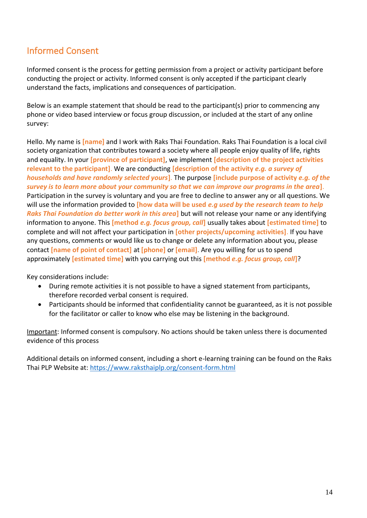# <span id="page-13-0"></span>Informed Consent

Informed consent is the process for getting permission from a project or activity participant before conducting the project or activity. Informed consent is only accepted if the participant clearly understand the facts, implications and consequences of participation.

Below is an example statement that should be read to the participant(s) prior to commencing any phone or video based interview or focus group discussion, or included at the start of any online survey:

Hello. My name is **[name]** and I work with Raks Thai Foundation. Raks Thai Foundation is a local civil society organization that contributes toward a society where all people enjoy quality of life, rights and equality. In your **[province of participant]**, we implement **[description of the project activities relevant to the participant]**. We are conducting **[description of the activity** *e.g. a survey of households and have randomly selected yours***]**. The purpose **[include purpose of activity** *e.g. of the survey is to learn more about your community so that we can improve our programs in the area***]**. Participation in the survey is voluntary and you are free to decline to answer any or all questions. We will use the information provided to **[how data will be used** *e.g used by the research team to help Raks Thai Foundation do better work in this area***]** but will not release your name or any identifying information to anyone. This **[method** *e.g. focus group, call***]** usually takes about **[estimated time]** to complete and will not affect your participation in **[other projects/upcoming activities]**. If you have any questions, comments or would like us to change or delete any information about you, please contact **[name of point of contact]** at **[phone]** or **[email]**. Are you willing for us to spend approximately **[estimated time]** with you carrying out this **[method** *e.g. focus group, call***]**?

Key considerations include:

- During remote activities it is not possible to have a signed statement from participants, therefore recorded verbal consent is required.
- Participants should be informed that confidentiality cannot be guaranteed, as it is not possible for the facilitator or caller to know who else may be listening in the background.

Important: Informed consent is compulsory. No actions should be taken unless there is documented evidence of this process

Additional details on informed consent, including a short e-learning training can be found on the Raks Thai PLP Website at:<https://www.raksthaiplp.org/consent-form.html>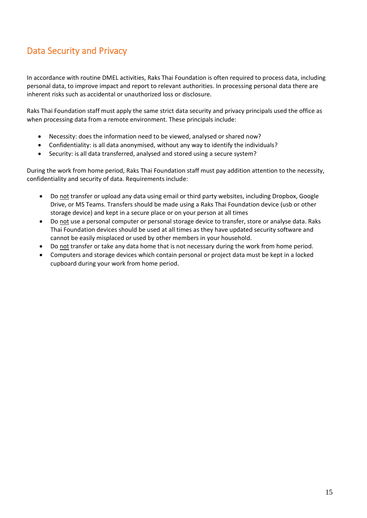# <span id="page-14-0"></span>Data Security and Privacy

In accordance with routine DMEL activities, Raks Thai Foundation is often required to process data, including personal data, to improve impact and report to relevant authorities. In processing personal data there are inherent risks such as accidental or unauthorized loss or disclosure.

Raks Thai Foundation staff must apply the same strict data security and privacy principals used the office as when processing data from a remote environment. These principals include:

- Necessity: does the information need to be viewed, analysed or shared now?
- Confidentiality: is all data anonymised, without any way to identify the individuals?
- Security: is all data transferred, analysed and stored using a secure system?

During the work from home period, Raks Thai Foundation staff must pay addition attention to the necessity, confidentiality and security of data. Requirements include:

- Do not transfer or upload any data using email or third party websites, including Dropbox, Google Drive, or MS Teams. Transfers should be made using a Raks Thai Foundation device (usb or other storage device) and kept in a secure place or on your person at all times
- Do not use a personal computer or personal storage device to transfer, store or analyse data. Raks Thai Foundation devices should be used at all times as they have updated security software and cannot be easily misplaced or used by other members in your household.
- Do not transfer or take any data home that is not necessary during the work from home period.
- Computers and storage devices which contain personal or project data must be kept in a locked cupboard during your work from home period.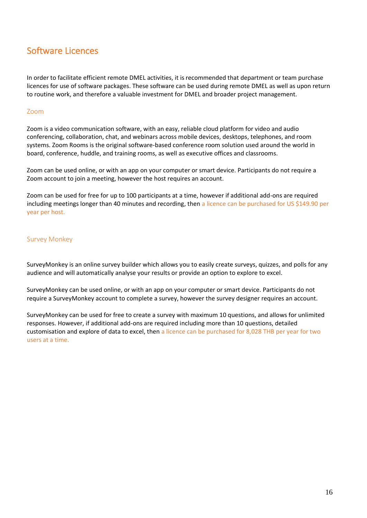## <span id="page-15-0"></span>Software Licences

In order to facilitate efficient remote DMEL activities, it is recommended that department or team purchase licences for use of software packages. These software can be used during remote DMEL as well as upon return to routine work, and therefore a valuable investment for DMEL and broader project management.

#### <span id="page-15-1"></span>Zoom

Zoom is a video communication software, with an easy, reliable cloud platform for video and audio conferencing, collaboration, chat, and webinars across mobile devices, desktops, telephones, and room systems. Zoom Rooms is the original software-based conference room solution used around the world in board, conference, huddle, and training rooms, as well as executive offices and classrooms.

Zoom can be used online, or with an app on your computer or smart device. Participants do not require a Zoom account to join a meeting, however the host requires an account.

Zoom can be used for free for up to 100 participants at a time, however if additional add-ons are required including meetings longer than 40 minutes and recording, then a licence can be purchased for US \$149.90 per year per host.

#### <span id="page-15-2"></span>Survey Monkey

SurveyMonkey is an online survey builder which allows you to easily create surveys, quizzes, and polls for any audience and will automatically analyse your results or provide an option to explore to excel.

SurveyMonkey can be used online, or with an app on your computer or smart device. Participants do not require a SurveyMonkey account to complete a survey, however the survey designer requires an account.

SurveyMonkey can be used for free to create a survey with maximum 10 questions, and allows for unlimited responses. However, if additional add-ons are required including more than 10 questions, detailed customisation and explore of data to excel, then a licence can be purchased for 8,028 THB per year for two users at a time.